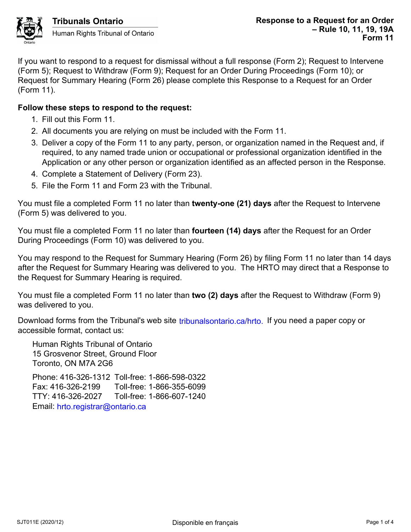

If you want to respond to a request for dismissal without a full response (Form 2); Request to Intervene (Form 5); Request to Withdraw (Form 9); Request for an Order During Proceedings (Form 10); or Request for Summary Hearing (Form 26) please complete this Response to a Request for an Order (Form 11).

## **Follow these steps to respond to the request:**

- 1. Fill out this Form 11.
- 2. All documents you are relying on must be included with the Form 11.
- 3. Deliver a copy of the Form 11 to any party, person, or organization named in the Request and, if required, to any named trade union or occupational or professional organization identified in the Application or any other person or organization identified as an affected person in the Response.
- 4. Complete a Statement of Delivery (Form 23).
- 5. File the Form 11 and Form 23 with the Tribunal.

You must file a completed Form 11 no later than **twenty-one (21) days** after the Request to Intervene (Form 5) was delivered to you.

You must file a completed Form 11 no later than **fourteen (14) days** after the Request for an Order During Proceedings (Form 10) was delivered to you.

You may respond to the Request for Summary Hearing (Form 26) by filing Form 11 no later than 14 days after the Request for Summary Hearing was delivered to you. The HRTO may direct that a Response to the Request for Summary Hearing is required.

You must file a completed Form 11 no later than **two (2) days** after the Request to Withdraw (Form 9) was delivered to you.

Download forms from the Tribunal's web site tribunalsontario.ca/hrto. If you need a paper copy or accessible format, contact us:

Human Rights Tribunal of Ontario 15 Grosvenor Street, Ground Floor Toronto, ON M7A 2G6

Phone: 416-326-1312 Toll-free: 1-866-598-0322 Fax: 416-326-2199 Toll-free: 1-866-355-6099 TTY: 416-326-2027 Toll-free: 1-866-607-1240 Email: hrto.registrar@ontario.ca forms from the Tribunal's web site tribunalsontario.ca/hrto. If you need a paper copy or<br>
format, contact us:<br>
Rights Tribunal of Ontario<br>
syenor Street, Ground Floor<br>
9, ON M7A 2G6<br>
416-326-2199 Toll-free: 1-866-598-0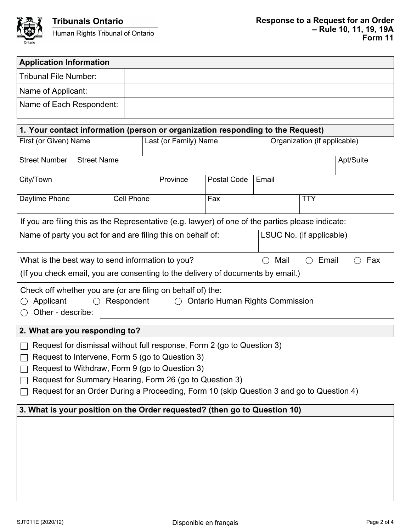

| <b>Application Information</b>                                                                                                                                     |                    |                   |                       |          |                                                                                          |       |                              |            |  |  |
|--------------------------------------------------------------------------------------------------------------------------------------------------------------------|--------------------|-------------------|-----------------------|----------|------------------------------------------------------------------------------------------|-------|------------------------------|------------|--|--|
| <b>Tribunal File Number:</b>                                                                                                                                       |                    |                   |                       |          |                                                                                          |       |                              |            |  |  |
| Name of Applicant:                                                                                                                                                 |                    |                   |                       |          |                                                                                          |       |                              |            |  |  |
| Name of Each Respondent:                                                                                                                                           |                    |                   |                       |          |                                                                                          |       |                              |            |  |  |
|                                                                                                                                                                    |                    |                   |                       |          |                                                                                          |       |                              |            |  |  |
| 1. Your contact information (person or organization responding to the Request)                                                                                     |                    |                   |                       |          |                                                                                          |       |                              |            |  |  |
| First (or Given) Name                                                                                                                                              |                    |                   | Last (or Family) Name |          |                                                                                          |       | Organization (if applicable) |            |  |  |
| <b>Street Number</b>                                                                                                                                               | <b>Street Name</b> |                   | Apt/Suite             |          |                                                                                          |       |                              |            |  |  |
| City/Town                                                                                                                                                          |                    |                   |                       | Province | <b>Postal Code</b>                                                                       | Email |                              |            |  |  |
| Daytime Phone                                                                                                                                                      |                    | <b>Cell Phone</b> |                       |          | Fax                                                                                      |       |                              | <b>TTY</b> |  |  |
| If you are filing this as the Representative (e.g. lawyer) of one of the parties please indicate:                                                                  |                    |                   |                       |          |                                                                                          |       |                              |            |  |  |
| Name of party you act for and are filing this on behalf of:                                                                                                        |                    |                   |                       |          |                                                                                          |       | LSUC No. (if applicable)     |            |  |  |
| What is the best way to send information to you?<br>Mail<br>Email<br>Fax<br>( )<br>(If you check email, you are consenting to the delivery of documents by email.) |                    |                   |                       |          |                                                                                          |       |                              |            |  |  |
| Check off whether you are (or are filing on behalf of) the:<br>Applicant<br>Respondent<br><b>Ontario Human Rights Commission</b><br>Other - describe:              |                    |                   |                       |          |                                                                                          |       |                              |            |  |  |
| 2. What are you responding to?                                                                                                                                     |                    |                   |                       |          |                                                                                          |       |                              |            |  |  |
|                                                                                                                                                                    |                    |                   |                       |          | Request for dismissal without full response, Form 2 (go to Question 3)                   |       |                              |            |  |  |
| Request to Intervene, Form 5 (go to Question 3)                                                                                                                    |                    |                   |                       |          |                                                                                          |       |                              |            |  |  |
| Request to Withdraw, Form 9 (go to Question 3)                                                                                                                     |                    |                   |                       |          |                                                                                          |       |                              |            |  |  |
| Request for Summary Hearing, Form 26 (go to Question 3)                                                                                                            |                    |                   |                       |          |                                                                                          |       |                              |            |  |  |
|                                                                                                                                                                    |                    |                   |                       |          | Request for an Order During a Proceeding, Form 10 (skip Question 3 and go to Question 4) |       |                              |            |  |  |
| 3. What is your position on the Order requested? (then go to Question 10)                                                                                          |                    |                   |                       |          |                                                                                          |       |                              |            |  |  |
|                                                                                                                                                                    |                    |                   |                       |          |                                                                                          |       |                              |            |  |  |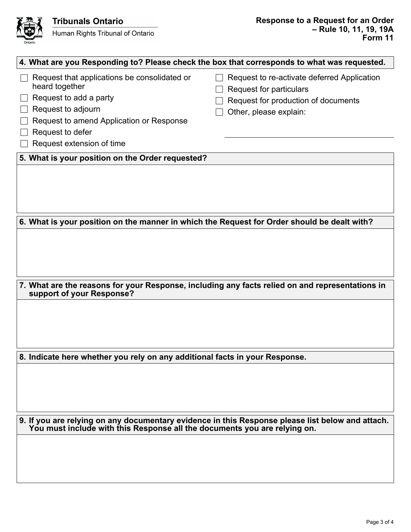

| 4. What are you Responding to? Please check the box that corresponds to what was requested.                                                                                                                 |                                                                                                                                                |  |  |  |  |  |  |  |  |
|-------------------------------------------------------------------------------------------------------------------------------------------------------------------------------------------------------------|------------------------------------------------------------------------------------------------------------------------------------------------|--|--|--|--|--|--|--|--|
| Request that applications be consolidated or<br>heard together<br>Request to add a party<br>Request to adjourn<br>Request to amend Application or Response<br>Request to defer<br>Request extension of time | Request to re-activate deferred Application<br><b>Request for particulars</b><br>Request for production of documents<br>Other, please explain: |  |  |  |  |  |  |  |  |
| 5. What is your position on the Order requested?                                                                                                                                                            |                                                                                                                                                |  |  |  |  |  |  |  |  |
|                                                                                                                                                                                                             |                                                                                                                                                |  |  |  |  |  |  |  |  |
| 6. What is your position on the manner in which the Request for Order should be dealt with?                                                                                                                 |                                                                                                                                                |  |  |  |  |  |  |  |  |
| 7. What are the reasons for your Response, including any facts relied on and representations in                                                                                                             |                                                                                                                                                |  |  |  |  |  |  |  |  |
| support of your Response?                                                                                                                                                                                   |                                                                                                                                                |  |  |  |  |  |  |  |  |
|                                                                                                                                                                                                             |                                                                                                                                                |  |  |  |  |  |  |  |  |
| 8. Indicate here whether you rely on any additional facts in your Response.                                                                                                                                 |                                                                                                                                                |  |  |  |  |  |  |  |  |
|                                                                                                                                                                                                             |                                                                                                                                                |  |  |  |  |  |  |  |  |
| 9. If you are relying on any documentary evidence in this Response please list below and attach.<br>You must include with this Response all the documents you are relying on.                               |                                                                                                                                                |  |  |  |  |  |  |  |  |
|                                                                                                                                                                                                             |                                                                                                                                                |  |  |  |  |  |  |  |  |